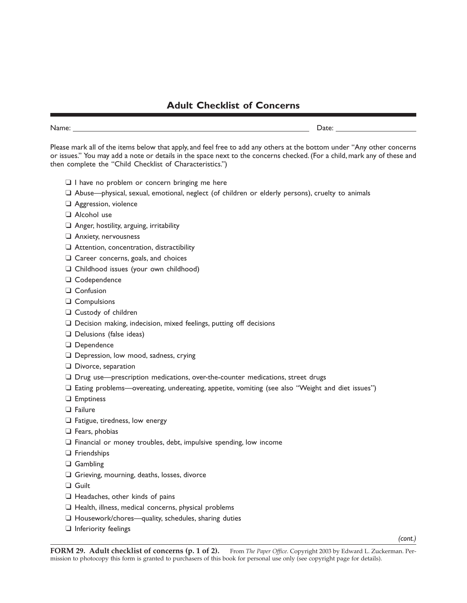## **Adult Checklist of Concerns**

| $. \, . \, . \, . \, . \, .$ | $\overline{\phantom{a}}$<br>ーuい<br>-<br>. |
|------------------------------|-------------------------------------------|
|                              |                                           |

Please mark all of the items below that apply, and feel free to add any others at the bottom under "Any other concerns or issues." You may add a note or details in the space next to the concerns checked. (For a child, mark any of these and then complete the "Child Checklist of Characteristics.")

- ❑ I have no problem or concern bringing me here
- ❑ Abuse—physical, sexual, emotional, neglect (of children or elderly persons), cruelty to animals
- ❑ Aggression, violence
- ❑ Alcohol use
- ❑ Anger, hostility, arguing, irritability
- ❑ Anxiety, nervousness
- ❑ Attention, concentration, distractibility
- ❑ Career concerns, goals, and choices
- ❑ Childhood issues (your own childhood)
- ❑ Codependence
- ❑ Confusion
- ❑ Compulsions
- ❑ Custody of children
- ❑ Decision making, indecision, mixed feelings, putting off decisions
- ❑ Delusions (false ideas)
- ❑ Dependence
- ❑ Depression, low mood, sadness, crying
- ❑ Divorce, separation
- ❑ Drug use—prescription medications, over-the-counter medications, street drugs
- ❑ Eating problems—overeating, undereating, appetite, vomiting (see also "Weight and diet issues")
- ❑ Emptiness
- ❑ Failure
- ❑ Fatigue, tiredness, low energy
- ❑ Fears, phobias
- ❑ Financial or money troubles, debt, impulsive spending, low income
- ❑ Friendships
- ❑ Gambling
- ❑ Grieving, mourning, deaths, losses, divorce
- ❑ Guilt
- ❑ Headaches, other kinds of pains
- ❑ Health, illness, medical concerns, physical problems
- ❑ Housework/chores—quality, schedules, sharing duties
- ❑ Inferiority feelings

*(cont.)*

**FORM 29. Adult checklist of concerns (p. 1 of 2).** From *The Paper Office*. Copyright 2003 by Edward L. Zuckerman. Permission to photocopy this form is granted to purchasers of this book for personal use only (see copyright page for details).